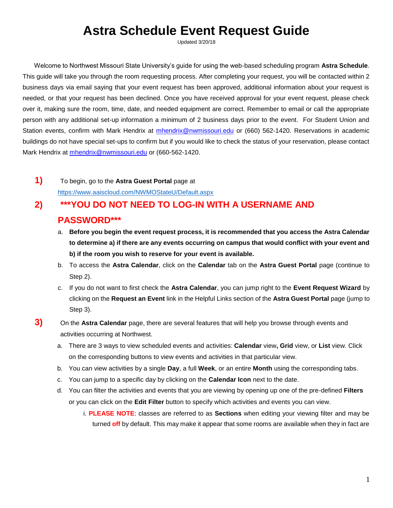## **Astra Schedule Event Request Guide**

Updated 3/20/18

Welcome to Northwest Missouri State University's guide for using the web-based scheduling program **Astra Schedule**. This guide will take you through the room requesting process. After completing your request, you will be contacted within 2 business days via email saying that your event request has been approved, additional information about your request is needed, or that your request has been declined. Once you have received approval for your event request, please check over it, making sure the room, time, date, and needed equipment are correct. Remember to email or call the appropriate person with any additional set-up information a minimum of 2 business days prior to the event. For Student Union and Station events, confirm with Mark Hendrix at mhendrix@nwmissouri.edu or (660) 562-1420. Reservations in academic buildings do not have special set-ups to confirm but if you would like to check the status of your reservation, please contact Mark Hendrix at mhendrix@nwmissouri.edu or (660-562-1420.

**1)** To begin, go to the **Astra Guest Portal** page at <https://www.aaiscloud.com/NWMOStateU/Default.aspx>

## **2) \*\*\*YOU DO NOT NEED TO LOG-IN WITH A USERNAME AND PASSWORD\*\*\***

- a. **Before you begin the event request process, it is recommended that you access the Astra Calendar to determine a) if there are any events occurring on campus that would conflict with your event and b) if the room you wish to reserve for your event is available.**
- b. To access the **Astra Calendar**, click on the **Calendar** tab on the **Astra Guest Portal** page (continue to Step 2).
- c. If you do not want to first check the **Astra Calendar**, you can jump right to the **Event Request Wizard** by clicking on the **Request an Event** link in the Helpful Links section of the **Astra Guest Portal** page (jump to Step 3).
- **3)** On the **Astra Calendar** page, there are several features that will help you browse through events and activities occurring at Northwest.
	- a. There are 3 ways to view scheduled events and activities: **Calendar** view**, Grid** view, or **List** view. Click on the corresponding buttons to view events and activities in that particular view.
	- b. You can view activities by a single **Day**, a full **Week**, or an entire **Month** using the corresponding tabs.
	- c. You can jump to a specific day by clicking on the **Calendar Icon** next to the date.
	- d. You can filter the activities and events that you are viewing by opening up one of the pre-defined **Filters** or you can click on the **Edit Filter** button to specify which activities and events you can view.
		- i. **PLEASE NOTE**: classes are referred to as **Sections** when editing your viewing filter and may be turned **off** by default. This may make it appear that some rooms are available when they in fact are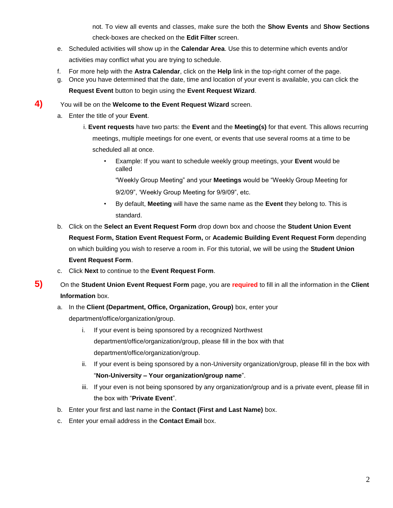not. To view all events and classes, make sure the both the **Show Events** and **Show Sections** check-boxes are checked on the **Edit Filter** screen.

- e. Scheduled activities will show up in the **Calendar Area**. Use this to determine which events and/or activities may conflict what you are trying to schedule.
- f. For more help with the **Astra Calendar**, click on the **Help** link in the top-right corner of the page.
- g. Once you have determined that the date, time and location of your event is available, you can click the **Request Event** button to begin using the **Event Request Wizard**.
- **4)** You will be on the **Welcome to the Event Request Wizard** screen.
	- a. Enter the title of your **Event**.
		- i. **Event requests** have two parts: the **Event** and the **Meeting(s)** for that event. This allows recurring meetings, multiple meetings for one event, or events that use several rooms at a time to be scheduled all at once.
			- Example: If you want to schedule weekly group meetings, your **Event** would be called

"Weekly Group Meeting" and your **Meetings** would be "Weekly Group Meeting for 9/2/09", 'Weekly Group Meeting for 9/9/09", etc.

- By default, **Meeting** will have the same name as the **Event** they belong to. This is standard.
- b. Click on the **Select an Event Request Form** drop down box and choose the **Student Union Event Request Form, Station Event Request Form,** or **Academic Building Event Request Form** depending on which building you wish to reserve a room in. For this tutorial, we will be using the **Student Union Event Request Form**.
- c. Click **Next** to continue to the **Event Request Form**.
- **5)** On the **Student Union Event Request Form** page, you are **required** to fill in all the information in the **Client Information** box.

## a. In the **Client (Department, Office, Organization, Group)** box, enter your

department/office/organization/group.

- i. If your event is being sponsored by a recognized Northwest department/office/organization/group, please fill in the box with that department/office/organization/group.
- ii. If your event is being sponsored by a non-University organization/group, please fill in the box with "**Non-University – Your organization/group name**".
- iii. If your even is not being sponsored by any organization/group and is a private event, please fill in the box with "**Private Event**".
- b. Enter your first and last name in the **Contact (First and Last Name)** box.
- c. Enter your email address in the **Contact Email** box.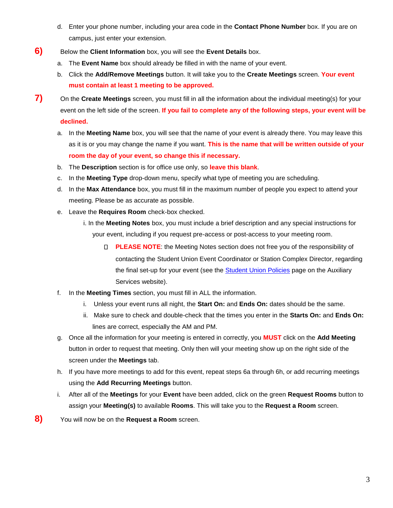- d. Enter your phone number, including your area code in the **Contact Phone Number** box. If you are on campus, just enter your extension.
- **6)** Below the **Client Information** box, you will see the **Event Details** box.
	- a. The **Event Name** box should already be filled in with the name of your event.
	- b. Click the **Add/Remove Meetings** button. It will take you to the **Create Meetings** screen. **Your event must contain at least 1 meeting to be approved.**
- **7)** On the **Create Meetings** screen, you must fill in all the information about the individual meeting(s) for your event on the left side of the screen. **If you fail to complete any of the following steps, your event will be declined.**
	- a. In the **Meeting Name** box, you will see that the name of your event is already there. You may leave this as it is or you may change the name if you want. **This is the name that will be written outside of your room the day of your event, so change this if necessary.**
	- b. The **Description** section is for office use only, so **leave this blank**.
	- c. In the **Meeting Type** drop-down menu, specify what type of meeting you are scheduling.
	- d. In the **Max Attendance** box, you must fill in the maximum number of people you expect to attend your meeting. Please be as accurate as possible.
	- e. Leave the **Requires Room** check-box checked.
		- i. In the **Meeting Notes** box, you must include a brief description and any special instructions for your event, including if you request pre-access or post-access to your meeting room.
			- **PLEASE NOTE:** the Meeting Notes section does not free you of the responsibility of contacting the Student Union Event Coordinator or Station Complex Director, regarding the final set-up for your event (see the [Student Union Policies](http://www.nwmissouri.edu/studentaffairs/auxiliary/unionpolicy.htm) [p](http://www.nwmissouri.edu/studentaffairs/auxiliary/unionpolicy.htm)age on the Auxiliary Services website).
	- f. In the **Meeting Times** section, you must fill in ALL the information.
		- i. Unless your event runs all night, the **Start On:** and **Ends On:** dates should be the same.
		- ii. Make sure to check and double-check that the times you enter in the **Starts On:** and **Ends On:** lines are correct, especially the AM and PM.
	- g. Once all the information for your meeting is entered in correctly, you **MUST** click on the **Add Meeting** button in order to request that meeting. Only then will your meeting show up on the right side of the screen under the **Meetings** tab.
	- h. If you have more meetings to add for this event, repeat steps 6a through 6h, or add recurring meetings using the **Add Recurring Meetings** button.
	- i. After all of the **Meetings** for your **Event** have been added, click on the green **Request Rooms** button to assign your **Meeting(s)** to available **Rooms**. This will take you to the **Request a Room** screen.
- **8)** You will now be on the **Request a Room** screen.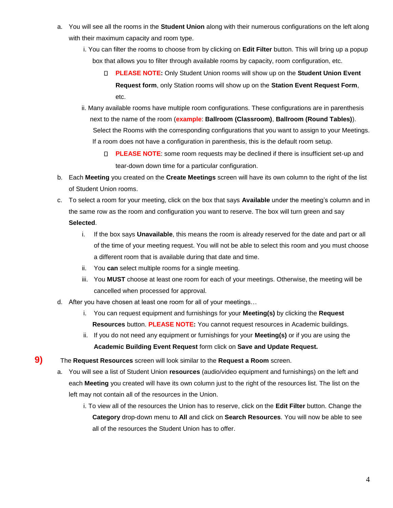- a. You will see all the rooms in the **Student Union** along with their numerous configurations on the left along with their maximum capacity and room type.
	- i. You can filter the rooms to choose from by clicking on **Edit Filter** button. This will bring up a popup box that allows you to filter through available rooms by capacity, room configuration, etc.
		- **PLEASE NOTE:** Only Student Union rooms will show up on the **Student Union Event Request form**, only Station rooms will show up on the **Station Event Request Form**, etc.
	- ii. Many available rooms have multiple room configurations. These configurations are in parenthesis next to the name of the room (**example**: **Ballroom (Classroom)**, **Ballroom (Round Tables)**). Select the Rooms with the corresponding configurations that you want to assign to your Meetings. If a room does not have a configuration in parenthesis, this is the default room setup.
		- **PLEASE NOTE**: some room requests may be declined if there is insufficient set-up and tear-down down time for a particular configuration.
- b. Each **Meeting** you created on the **Create Meetings** screen will have its own column to the right of the list of Student Union rooms.
- c. To select a room for your meeting, click on the box that says **Available** under the meeting's column and in the same row as the room and configuration you want to reserve. The box will turn green and say **Selected**.
	- i. If the box says **Unavailable**, this means the room is already reserved for the date and part or all of the time of your meeting request. You will not be able to select this room and you must choose a different room that is available during that date and time.
	- ii. You **can** select multiple rooms for a single meeting.
	- iii. You **MUST** choose at least one room for each of your meetings. Otherwise, the meeting will be cancelled when processed for approval.
- d. After you have chosen at least one room for all of your meetings…
	- i. You can request equipment and furnishings for your **Meeting(s)** by clicking the **Request Resources** button. **PLEASE NOTE:** You cannot request resources in Academic buildings.
	- ii. If you do not need any equipment or furnishings for your **Meeting(s)** or if you are using the **Academic Building Event Request** form click on **Save and Update Request.**
- **9)** The **Request Resources** screen will look similar to the **Request a Room** screen.
	- a. You will see a list of Student Union **resources** (audio/video equipment and furnishings) on the left and each **Meeting** you created will have its own column just to the right of the resources list. The list on the left may not contain all of the resources in the Union.
		- i. To view all of the resources the Union has to reserve, click on the **Edit Filter** button. Change the **Category** drop-down menu to **All** and click on **Search Resources**. You will now be able to see all of the resources the Student Union has to offer.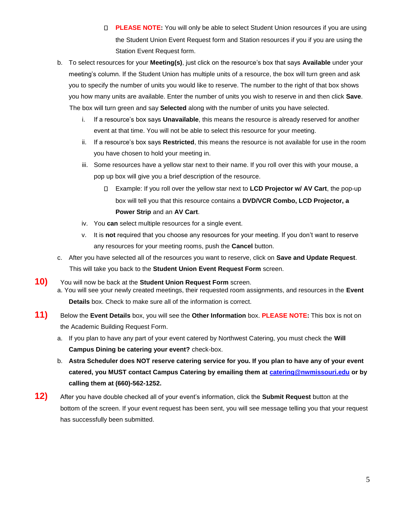- **PLEASE NOTE:** You will only be able to select Student Union resources if you are using the Student Union Event Request form and Station resources if you if you are using the Station Event Request form.
- b. To select resources for your **Meeting(s)**, just click on the resource's box that says **Available** under your meeting's column. If the Student Union has multiple units of a resource, the box will turn green and ask you to specify the number of units you would like to reserve. The number to the right of that box shows you how many units are available. Enter the number of units you wish to reserve in and then click **Save**. The box will turn green and say **Selected** along with the number of units you have selected.
	- i. If a resource's box says **Unavailable**, this means the resource is already reserved for another event at that time. You will not be able to select this resource for your meeting.
	- ii. If a resource's box says **Restricted**, this means the resource is not available for use in the room you have chosen to hold your meeting in.
	- iii. Some resources have a yellow star next to their name. If you roll over this with your mouse, a pop up box will give you a brief description of the resource.
		- Example: If you roll over the yellow star next to **LCD Projector w/ AV Cart**, the pop-up box will tell you that this resource contains a **DVD/VCR Combo, LCD Projector, a Power Strip** and an **AV Cart**.
	- iv. You **can** select multiple resources for a single event.
	- v. It is **not** required that you choose any resources for your meeting. If you don't want to reserve any resources for your meeting rooms, push the **Cancel** button.
- c. After you have selected all of the resources you want to reserve, click on **Save and Update Request**. This will take you back to the **Student Union Event Request Form** screen.
- **10)** You will now be back at the **Student Union Request Form** screen. a. You will see your newly created meetings, their requested room assignments, and resources in the **Event Details** box. Check to make sure all of the information is correct.
- **11)** Below the **Event Details** box, you will see the **Other Information** box. **PLEASE NOTE:** This box is not on the Academic Building Request Form.
	- a. If you plan to have any part of your event catered by Northwest Catering, you must check the **Will Campus Dining be catering your event?** check-box.
	- b. **Astra Scheduler does NOT reserve catering service for you. If you plan to have any of your event catered, you MUST contact Campus Catering by emailing them at catering@nwmissouri.edu or by calling them at (660)-562-1252.**
- **12)** After you have double checked all of your event's information, click the **Submit Request** button at the bottom of the screen. If your event request has been sent, you will see message telling you that your request has successfully been submitted.